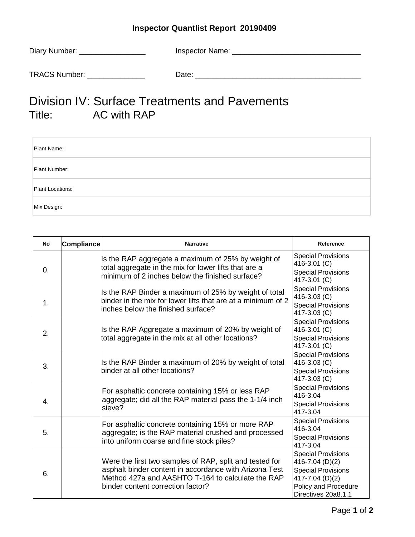## **Inspector Quantlist Report 20190409**

| Diary Number: | <b>Inspector Name:</b> |
|---------------|------------------------|
|               |                        |
| TRACS Number: | Date:                  |

## Division IV: Surface Treatments and Pavements<br>Title: AC with RAP AC with RAP

| Plant Name:      |  |
|------------------|--|
| Plant Number:    |  |
| Plant Locations: |  |
| Mix Design:      |  |

| No             | <b>Compliance</b> | <b>Narrative</b>                                                                                                                                                                                            | Reference                                                                                                                                   |
|----------------|-------------------|-------------------------------------------------------------------------------------------------------------------------------------------------------------------------------------------------------------|---------------------------------------------------------------------------------------------------------------------------------------------|
| 0.             |                   | Is the RAP aggregate a maximum of 25% by weight of<br>total aggregate in the mix for lower lifts that are a<br>minimum of 2 inches below the finished surface?                                              | <b>Special Provisions</b><br>416-3.01 (C)<br><b>Special Provisions</b><br>417-3.01 (C)                                                      |
| 1.             |                   | Is the RAP Binder a maximum of 25% by weight of total<br>binder in the mix for lower lifts that are at a minimum of 2<br>inches below the finished surface?                                                 | <b>Special Provisions</b><br>416-3.03 (C)<br><b>Special Provisions</b><br>417-3.03 (C)                                                      |
| 2.             |                   | Is the RAP Aggregate a maximum of 20% by weight of<br>total aggregate in the mix at all other locations?                                                                                                    | <b>Special Provisions</b><br>416-3.01 (C)<br><b>Special Provisions</b><br>417-3.01 (C)                                                      |
| 3.             |                   | Is the RAP Binder a maximum of 20% by weight of total<br>binder at all other locations?                                                                                                                     | <b>Special Provisions</b><br>416-3.03 (C)<br><b>Special Provisions</b><br>417-3.03 (C)                                                      |
| $\mathbf{4}$ . |                   | For asphaltic concrete containing 15% or less RAP<br>aggregate; did all the RAP material pass the 1-1/4 inch<br>sieve?                                                                                      | <b>Special Provisions</b><br>416-3.04<br><b>Special Provisions</b><br>417-3.04                                                              |
| 5.             |                   | For asphaltic concrete containing 15% or more RAP<br>aggregate; is the RAP material crushed and processed<br>into uniform coarse and fine stock piles?                                                      | <b>Special Provisions</b><br>416-3.04<br><b>Special Provisions</b><br>417-3.04                                                              |
| 6.             |                   | Were the first two samples of RAP, split and tested for<br>asphalt binder content in accordance with Arizona Test<br>Method 427a and AASHTO T-164 to calculate the RAP<br>binder content correction factor? | <b>Special Provisions</b><br>416-7.04 (D)(2)<br><b>Special Provisions</b><br>417-7.04 (D)(2)<br>Policy and Procedure<br>Directives 20a8.1.1 |